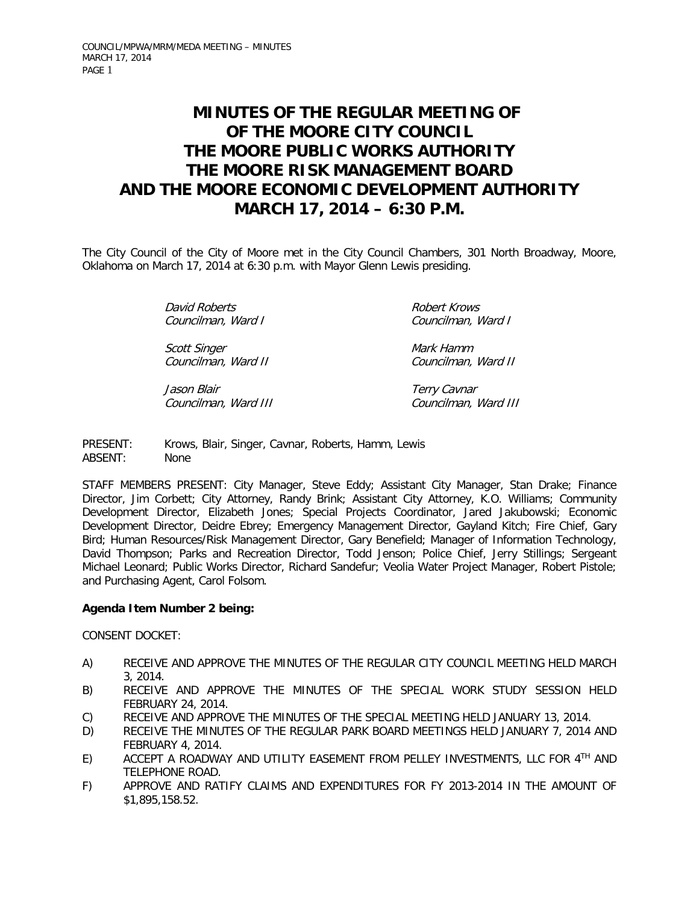# **MINUTES OF THE REGULAR MEETING OF OF THE MOORE CITY COUNCIL THE MOORE PUBLIC WORKS AUTHORITY THE MOORE RISK MANAGEMENT BOARD AND THE MOORE ECONOMIC DEVELOPMENT AUTHORITY MARCH 17, 2014 – 6:30 P.M.**

The City Council of the City of Moore met in the City Council Chambers, 301 North Broadway, Moore, Oklahoma on March 17, 2014 at 6:30 p.m. with Mayor Glenn Lewis presiding.

> David Roberts **Robert Krows** Robert Krows Councilman, Ward I Councilman, Ward I

Scott Singer **Mark Hamm** Councilman, Ward II Councilman, Ward II

Jason Blair<br>Councilman, Ward III Councilman, Ward III Councilman, Ward III

PRESENT: Krows, Blair, Singer, Cavnar, Roberts, Hamm, Lewis ABSENT: None

STAFF MEMBERS PRESENT: City Manager, Steve Eddy; Assistant City Manager, Stan Drake; Finance Director, Jim Corbett; City Attorney, Randy Brink; Assistant City Attorney, K.O. Williams; Community Development Director, Elizabeth Jones; Special Projects Coordinator, Jared Jakubowski; Economic Development Director, Deidre Ebrey; Emergency Management Director, Gayland Kitch; Fire Chief, Gary Bird; Human Resources/Risk Management Director, Gary Benefield; Manager of Information Technology, David Thompson; Parks and Recreation Director, Todd Jenson; Police Chief, Jerry Stillings; Sergeant Michael Leonard; Public Works Director, Richard Sandefur; Veolia Water Project Manager, Robert Pistole; and Purchasing Agent, Carol Folsom.

# **Agenda Item Number 2 being:**

CONSENT DOCKET:

- A) RECEIVE AND APPROVE THE MINUTES OF THE REGULAR CITY COUNCIL MEETING HELD MARCH 3, 2014.
- B) RECEIVE AND APPROVE THE MINUTES OF THE SPECIAL WORK STUDY SESSION HELD FEBRUARY 24, 2014.
- C) RECEIVE AND APPROVE THE MINUTES OF THE SPECIAL MEETING HELD JANUARY 13, 2014.
- D) RECEIVE THE MINUTES OF THE REGULAR PARK BOARD MEETINGS HELD JANUARY 7, 2014 AND FEBRUARY 4, 2014.
- E) ACCEPT A ROADWAY AND UTILITY EASEMENT FROM PELLEY INVESTMENTS, LLC FOR 4TH AND TELEPHONE ROAD.
- F) APPROVE AND RATIFY CLAIMS AND EXPENDITURES FOR FY 2013-2014 IN THE AMOUNT OF \$1,895,158.52.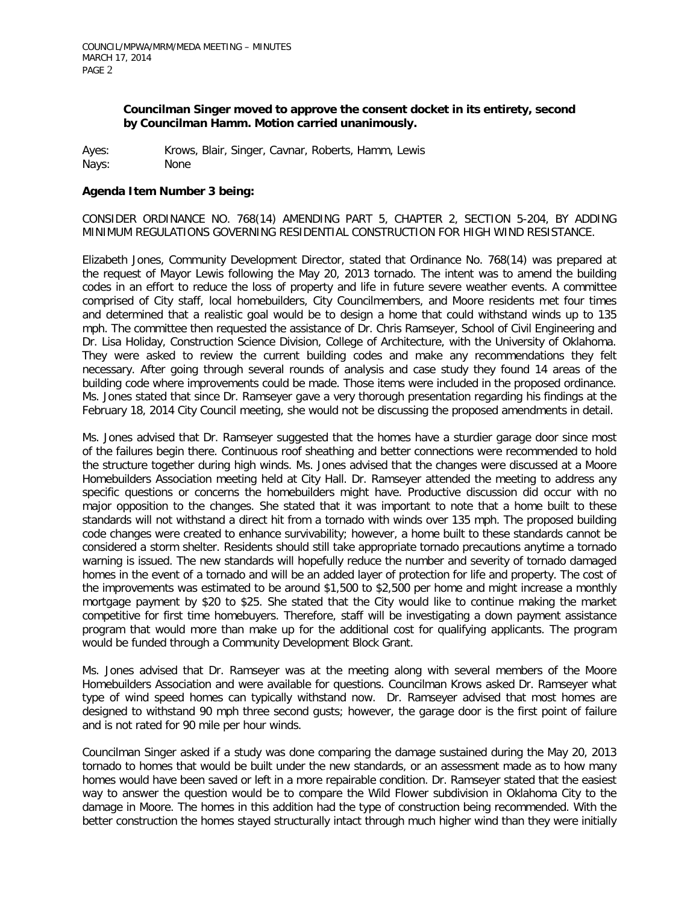## **Councilman Singer moved to approve the consent docket in its entirety, second by Councilman Hamm. Motion carried unanimously.**

Ayes: Krows, Blair, Singer, Cavnar, Roberts, Hamm, Lewis Nays: None

## **Agenda Item Number 3 being:**

CONSIDER ORDINANCE NO. 768(14) AMENDING PART 5, CHAPTER 2, SECTION 5-204, BY ADDING MINIMUM REGULATIONS GOVERNING RESIDENTIAL CONSTRUCTION FOR HIGH WIND RESISTANCE.

Elizabeth Jones, Community Development Director, stated that Ordinance No. 768(14) was prepared at the request of Mayor Lewis following the May 20, 2013 tornado. The intent was to amend the building codes in an effort to reduce the loss of property and life in future severe weather events. A committee comprised of City staff, local homebuilders, City Councilmembers, and Moore residents met four times and determined that a realistic goal would be to design a home that could withstand winds up to 135 mph. The committee then requested the assistance of Dr. Chris Ramseyer, School of Civil Engineering and Dr. Lisa Holiday, Construction Science Division, College of Architecture, with the University of Oklahoma. They were asked to review the current building codes and make any recommendations they felt necessary. After going through several rounds of analysis and case study they found 14 areas of the building code where improvements could be made. Those items were included in the proposed ordinance. Ms. Jones stated that since Dr. Ramseyer gave a very thorough presentation regarding his findings at the February 18, 2014 City Council meeting, she would not be discussing the proposed amendments in detail.

Ms. Jones advised that Dr. Ramseyer suggested that the homes have a sturdier garage door since most of the failures begin there. Continuous roof sheathing and better connections were recommended to hold the structure together during high winds. Ms. Jones advised that the changes were discussed at a Moore Homebuilders Association meeting held at City Hall. Dr. Ramseyer attended the meeting to address any specific questions or concerns the homebuilders might have. Productive discussion did occur with no major opposition to the changes. She stated that it was important to note that a home built to these standards will not withstand a direct hit from a tornado with winds over 135 mph. The proposed building code changes were created to enhance survivability; however, a home built to these standards cannot be considered a storm shelter. Residents should still take appropriate tornado precautions anytime a tornado warning is issued. The new standards will hopefully reduce the number and severity of tornado damaged homes in the event of a tornado and will be an added layer of protection for life and property. The cost of the improvements was estimated to be around \$1,500 to \$2,500 per home and might increase a monthly mortgage payment by \$20 to \$25. She stated that the City would like to continue making the market competitive for first time homebuyers. Therefore, staff will be investigating a down payment assistance program that would more than make up for the additional cost for qualifying applicants. The program would be funded through a Community Development Block Grant.

Ms. Jones advised that Dr. Ramseyer was at the meeting along with several members of the Moore Homebuilders Association and were available for questions. Councilman Krows asked Dr. Ramseyer what type of wind speed homes can typically withstand now. Dr. Ramseyer advised that most homes are designed to withstand 90 mph three second gusts; however, the garage door is the first point of failure and is not rated for 90 mile per hour winds.

Councilman Singer asked if a study was done comparing the damage sustained during the May 20, 2013 tornado to homes that would be built under the new standards, or an assessment made as to how many homes would have been saved or left in a more repairable condition. Dr. Ramseyer stated that the easiest way to answer the question would be to compare the Wild Flower subdivision in Oklahoma City to the damage in Moore. The homes in this addition had the type of construction being recommended. With the better construction the homes stayed structurally intact through much higher wind than they were initially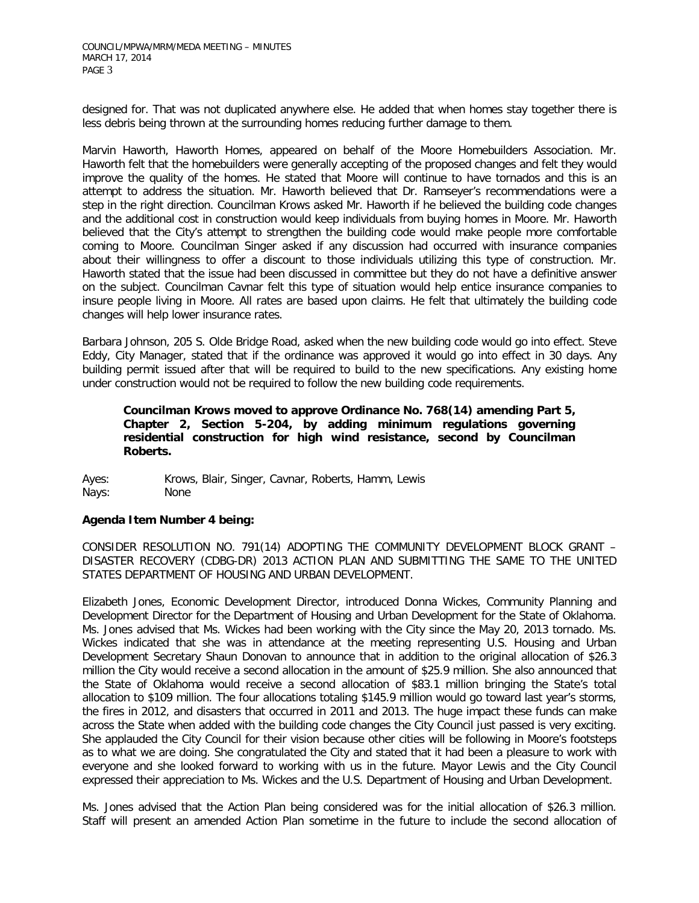designed for. That was not duplicated anywhere else. He added that when homes stay together there is less debris being thrown at the surrounding homes reducing further damage to them.

Marvin Haworth, Haworth Homes, appeared on behalf of the Moore Homebuilders Association. Mr. Haworth felt that the homebuilders were generally accepting of the proposed changes and felt they would improve the quality of the homes. He stated that Moore will continue to have tornados and this is an attempt to address the situation. Mr. Haworth believed that Dr. Ramseyer's recommendations were a step in the right direction. Councilman Krows asked Mr. Haworth if he believed the building code changes and the additional cost in construction would keep individuals from buying homes in Moore. Mr. Haworth believed that the City's attempt to strengthen the building code would make people more comfortable coming to Moore. Councilman Singer asked if any discussion had occurred with insurance companies about their willingness to offer a discount to those individuals utilizing this type of construction. Mr. Haworth stated that the issue had been discussed in committee but they do not have a definitive answer on the subject. Councilman Cavnar felt this type of situation would help entice insurance companies to insure people living in Moore. All rates are based upon claims. He felt that ultimately the building code changes will help lower insurance rates.

Barbara Johnson, 205 S. Olde Bridge Road, asked when the new building code would go into effect. Steve Eddy, City Manager, stated that if the ordinance was approved it would go into effect in 30 days. Any building permit issued after that will be required to build to the new specifications. Any existing home under construction would not be required to follow the new building code requirements.

## **Councilman Krows moved to approve Ordinance No. 768(14) amending Part 5, Chapter 2, Section 5-204, by adding minimum regulations governing residential construction for high wind resistance, second by Councilman Roberts.**

Ayes: Krows, Blair, Singer, Cavnar, Roberts, Hamm, Lewis Nays: None

# **Agenda Item Number 4 being:**

CONSIDER RESOLUTION NO. 791(14) ADOPTING THE COMMUNITY DEVELOPMENT BLOCK GRANT – DISASTER RECOVERY (CDBG-DR) 2013 ACTION PLAN AND SUBMITTING THE SAME TO THE UNITED STATES DEPARTMENT OF HOUSING AND URBAN DEVELOPMENT.

Elizabeth Jones, Economic Development Director, introduced Donna Wickes, Community Planning and Development Director for the Department of Housing and Urban Development for the State of Oklahoma. Ms. Jones advised that Ms. Wickes had been working with the City since the May 20, 2013 tornado. Ms. Wickes indicated that she was in attendance at the meeting representing U.S. Housing and Urban Development Secretary Shaun Donovan to announce that in addition to the original allocation of \$26.3 million the City would receive a second allocation in the amount of \$25.9 million. She also announced that the State of Oklahoma would receive a second allocation of \$83.1 million bringing the State's total allocation to \$109 million. The four allocations totaling \$145.9 million would go toward last year's storms, the fires in 2012, and disasters that occurred in 2011 and 2013. The huge impact these funds can make across the State when added with the building code changes the City Council just passed is very exciting. She applauded the City Council for their vision because other cities will be following in Moore's footsteps as to what we are doing. She congratulated the City and stated that it had been a pleasure to work with everyone and she looked forward to working with us in the future. Mayor Lewis and the City Council expressed their appreciation to Ms. Wickes and the U.S. Department of Housing and Urban Development.

Ms. Jones advised that the Action Plan being considered was for the initial allocation of \$26.3 million. Staff will present an amended Action Plan sometime in the future to include the second allocation of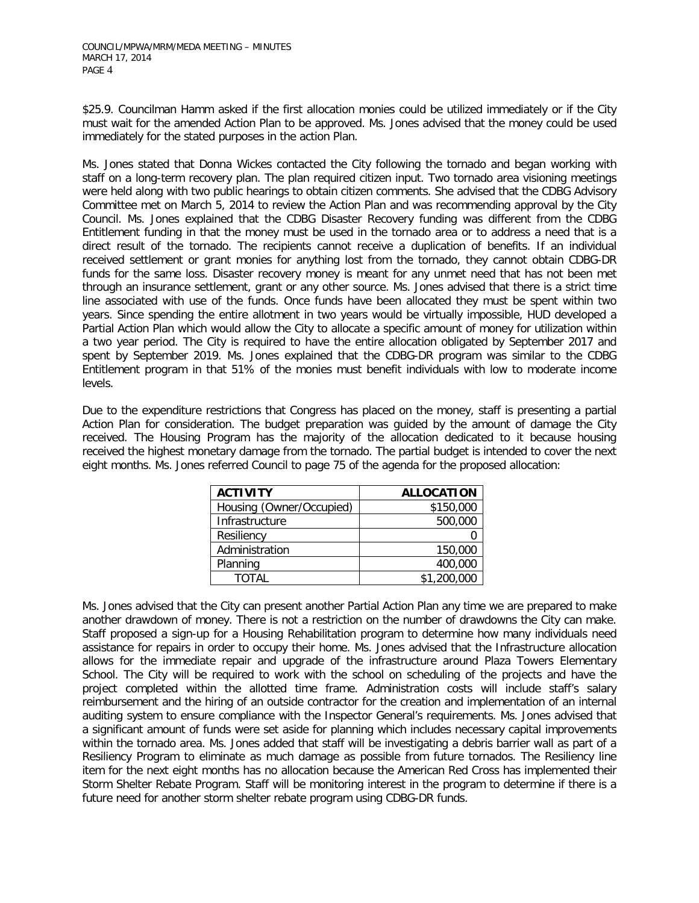\$25.9. Councilman Hamm asked if the first allocation monies could be utilized immediately or if the City must wait for the amended Action Plan to be approved. Ms. Jones advised that the money could be used immediately for the stated purposes in the action Plan.

Ms. Jones stated that Donna Wickes contacted the City following the tornado and began working with staff on a long-term recovery plan. The plan required citizen input. Two tornado area visioning meetings were held along with two public hearings to obtain citizen comments. She advised that the CDBG Advisory Committee met on March 5, 2014 to review the Action Plan and was recommending approval by the City Council. Ms. Jones explained that the CDBG Disaster Recovery funding was different from the CDBG Entitlement funding in that the money must be used in the tornado area or to address a need that is a direct result of the tornado. The recipients cannot receive a duplication of benefits. If an individual received settlement or grant monies for anything lost from the tornado, they cannot obtain CDBG-DR funds for the same loss. Disaster recovery money is meant for any unmet need that has not been met through an insurance settlement, grant or any other source. Ms. Jones advised that there is a strict time line associated with use of the funds. Once funds have been allocated they must be spent within two years. Since spending the entire allotment in two years would be virtually impossible, HUD developed a Partial Action Plan which would allow the City to allocate a specific amount of money for utilization within a two year period. The City is required to have the entire allocation obligated by September 2017 and spent by September 2019. Ms. Jones explained that the CDBG-DR program was similar to the CDBG Entitlement program in that 51% of the monies must benefit individuals with low to moderate income levels.

Due to the expenditure restrictions that Congress has placed on the money, staff is presenting a partial Action Plan for consideration. The budget preparation was guided by the amount of damage the City received. The Housing Program has the majority of the allocation dedicated to it because housing received the highest monetary damage from the tornado. The partial budget is intended to cover the next eight months. Ms. Jones referred Council to page 75 of the agenda for the proposed allocation:

| <b>ACTIVITY</b>          | <b>ALLOCATION</b> |  |
|--------------------------|-------------------|--|
| Housing (Owner/Occupied) | \$150,000         |  |
| Infrastructure           | 500,000           |  |
| Resiliency               |                   |  |
| Administration           | 150,000           |  |
| Planning                 | 400,000           |  |
| TOTAL                    | \$1,200,000       |  |

Ms. Jones advised that the City can present another Partial Action Plan any time we are prepared to make another drawdown of money. There is not a restriction on the number of drawdowns the City can make. Staff proposed a sign-up for a Housing Rehabilitation program to determine how many individuals need assistance for repairs in order to occupy their home. Ms. Jones advised that the Infrastructure allocation allows for the immediate repair and upgrade of the infrastructure around Plaza Towers Elementary School. The City will be required to work with the school on scheduling of the projects and have the project completed within the allotted time frame. Administration costs will include staff's salary reimbursement and the hiring of an outside contractor for the creation and implementation of an internal auditing system to ensure compliance with the Inspector General's requirements. Ms. Jones advised that a significant amount of funds were set aside for planning which includes necessary capital improvements within the tornado area. Ms. Jones added that staff will be investigating a debris barrier wall as part of a Resiliency Program to eliminate as much damage as possible from future tornados. The Resiliency line item for the next eight months has no allocation because the American Red Cross has implemented their Storm Shelter Rebate Program. Staff will be monitoring interest in the program to determine if there is a future need for another storm shelter rebate program using CDBG-DR funds.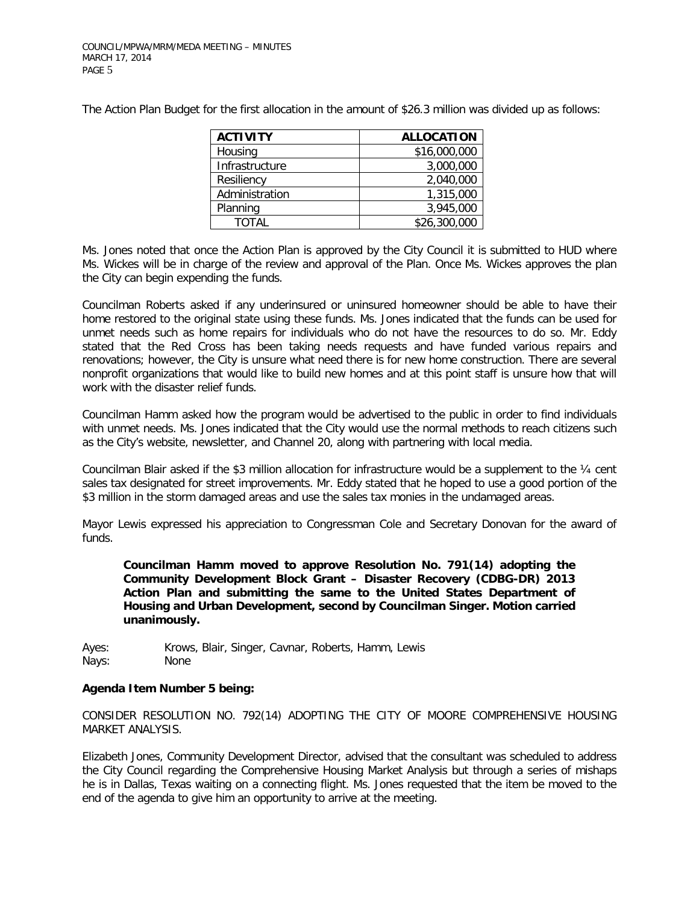The Action Plan Budget for the first allocation in the amount of \$26.3 million was divided up as follows:

| <b>ACTIVITY</b> | <b>ALLOCATION</b> |  |
|-----------------|-------------------|--|
| Housing         | \$16,000,000      |  |
| Infrastructure  | 3,000,000         |  |
| Resiliency      | 2,040,000         |  |
| Administration  | 1,315,000         |  |
| Planning        | 3,945,000         |  |
| ΤΩΤΑΙ           | \$26,300,000      |  |

Ms. Jones noted that once the Action Plan is approved by the City Council it is submitted to HUD where Ms. Wickes will be in charge of the review and approval of the Plan. Once Ms. Wickes approves the plan the City can begin expending the funds.

Councilman Roberts asked if any underinsured or uninsured homeowner should be able to have their home restored to the original state using these funds. Ms. Jones indicated that the funds can be used for unmet needs such as home repairs for individuals who do not have the resources to do so. Mr. Eddy stated that the Red Cross has been taking needs requests and have funded various repairs and renovations; however, the City is unsure what need there is for new home construction. There are several nonprofit organizations that would like to build new homes and at this point staff is unsure how that will work with the disaster relief funds.

Councilman Hamm asked how the program would be advertised to the public in order to find individuals with unmet needs. Ms. Jones indicated that the City would use the normal methods to reach citizens such as the City's website, newsletter, and Channel 20, along with partnering with local media.

Councilman Blair asked if the \$3 million allocation for infrastructure would be a supplement to the ¼ cent sales tax designated for street improvements. Mr. Eddy stated that he hoped to use a good portion of the \$3 million in the storm damaged areas and use the sales tax monies in the undamaged areas.

Mayor Lewis expressed his appreciation to Congressman Cole and Secretary Donovan for the award of funds.

 **Councilman Hamm moved to approve Resolution No. 791(14) adopting the Community Development Block Grant – Disaster Recovery (CDBG-DR) 2013 Action Plan and submitting the same to the United States Department of Housing and Urban Development, second by Councilman Singer. Motion carried unanimously.** 

Ayes: Krows, Blair, Singer, Cavnar, Roberts, Hamm, Lewis Nays: None

#### **Agenda Item Number 5 being:**

CONSIDER RESOLUTION NO. 792(14) ADOPTING THE CITY OF MOORE COMPREHENSIVE HOUSING MARKET ANALYSIS.

Elizabeth Jones, Community Development Director, advised that the consultant was scheduled to address the City Council regarding the Comprehensive Housing Market Analysis but through a series of mishaps he is in Dallas, Texas waiting on a connecting flight. Ms. Jones requested that the item be moved to the end of the agenda to give him an opportunity to arrive at the meeting.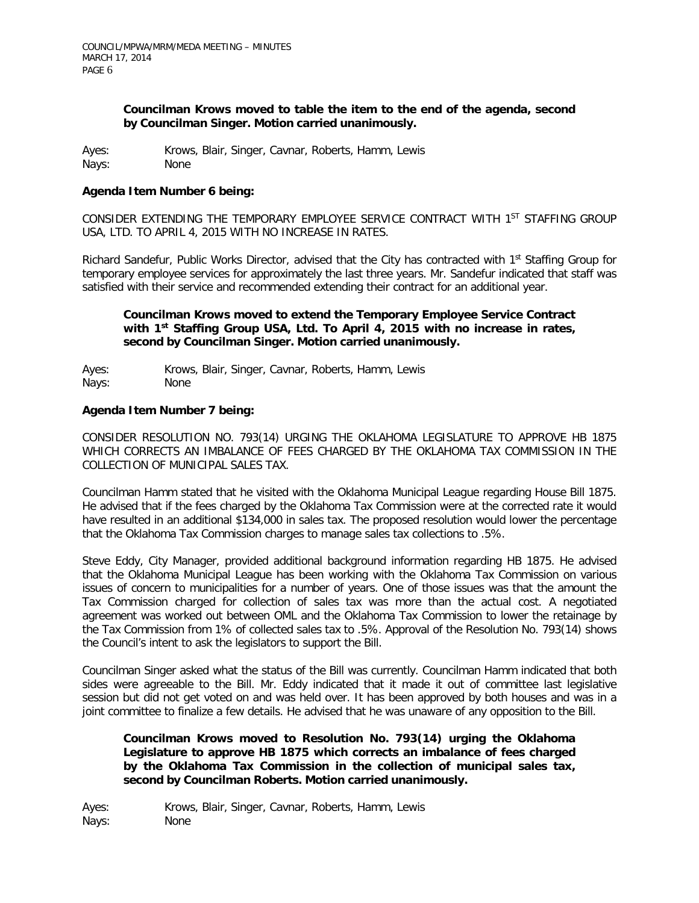## **Councilman Krows moved to table the item to the end of the agenda, second by Councilman Singer. Motion carried unanimously.**

Ayes: Krows, Blair, Singer, Cavnar, Roberts, Hamm, Lewis Nays: None

## **Agenda Item Number 6 being:**

CONSIDER EXTENDING THE TEMPORARY EMPLOYEE SERVICE CONTRACT WITH 1ST STAFFING GROUP USA, LTD. TO APRIL 4, 2015 WITH NO INCREASE IN RATES.

Richard Sandefur, Public Works Director, advised that the City has contracted with 1<sup>st</sup> Staffing Group for temporary employee services for approximately the last three years. Mr. Sandefur indicated that staff was satisfied with their service and recommended extending their contract for an additional year.

## **Councilman Krows moved to extend the Temporary Employee Service Contract with 1st Staffing Group USA, Ltd. To April 4, 2015 with no increase in rates, second by Councilman Singer. Motion carried unanimously.**

Ayes: Krows, Blair, Singer, Cavnar, Roberts, Hamm, Lewis Nays: None

## **Agenda Item Number 7 being:**

CONSIDER RESOLUTION NO. 793(14) URGING THE OKLAHOMA LEGISLATURE TO APPROVE HB 1875 WHICH CORRECTS AN IMBALANCE OF FEES CHARGED BY THE OKLAHOMA TAX COMMISSION IN THE COLLECTION OF MUNICIPAL SALES TAX.

Councilman Hamm stated that he visited with the Oklahoma Municipal League regarding House Bill 1875. He advised that if the fees charged by the Oklahoma Tax Commission were at the corrected rate it would have resulted in an additional \$134,000 in sales tax. The proposed resolution would lower the percentage that the Oklahoma Tax Commission charges to manage sales tax collections to .5%.

Steve Eddy, City Manager, provided additional background information regarding HB 1875. He advised that the Oklahoma Municipal League has been working with the Oklahoma Tax Commission on various issues of concern to municipalities for a number of years. One of those issues was that the amount the Tax Commission charged for collection of sales tax was more than the actual cost. A negotiated agreement was worked out between OML and the Oklahoma Tax Commission to lower the retainage by the Tax Commission from 1% of collected sales tax to .5%. Approval of the Resolution No. 793(14) shows the Council's intent to ask the legislators to support the Bill.

Councilman Singer asked what the status of the Bill was currently. Councilman Hamm indicated that both sides were agreeable to the Bill. Mr. Eddy indicated that it made it out of committee last legislative session but did not get voted on and was held over. It has been approved by both houses and was in a joint committee to finalize a few details. He advised that he was unaware of any opposition to the Bill.

## **Councilman Krows moved to Resolution No. 793(14) urging the Oklahoma Legislature to approve HB 1875 which corrects an imbalance of fees charged by the Oklahoma Tax Commission in the collection of municipal sales tax, second by Councilman Roberts. Motion carried unanimously.**

Ayes: Krows, Blair, Singer, Cavnar, Roberts, Hamm, Lewis Nays: None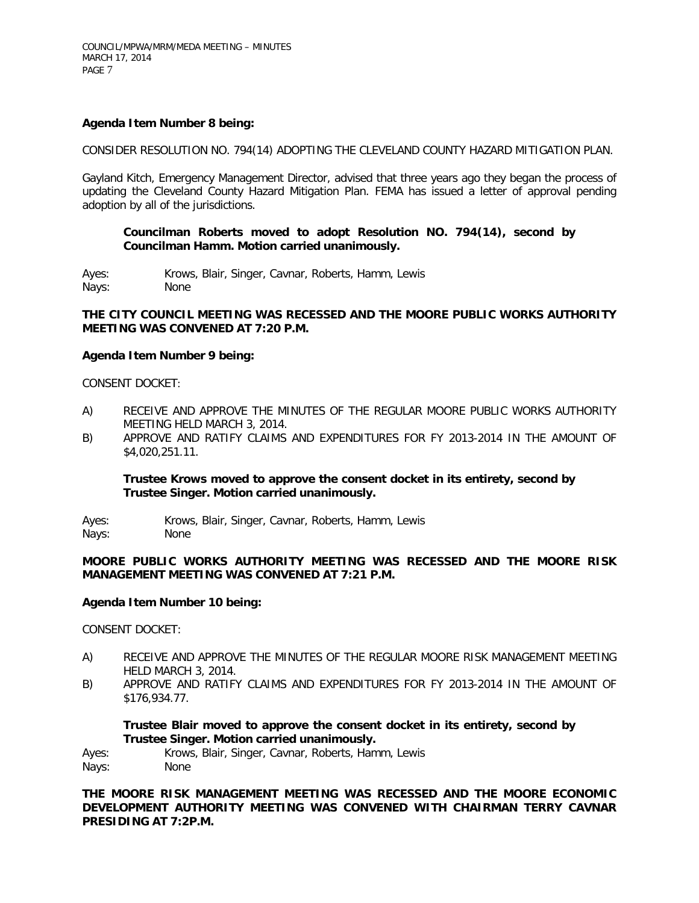## **Agenda Item Number 8 being:**

CONSIDER RESOLUTION NO. 794(14) ADOPTING THE CLEVELAND COUNTY HAZARD MITIGATION PLAN.

Gayland Kitch, Emergency Management Director, advised that three years ago they began the process of updating the Cleveland County Hazard Mitigation Plan. FEMA has issued a letter of approval pending adoption by all of the jurisdictions.

## **Councilman Roberts moved to adopt Resolution NO. 794(14), second by Councilman Hamm. Motion carried unanimously.**

Ayes: Krows, Blair, Singer, Cavnar, Roberts, Hamm, Lewis Nays: None

## **THE CITY COUNCIL MEETING WAS RECESSED AND THE MOORE PUBLIC WORKS AUTHORITY MEETING WAS CONVENED AT 7:20 P.M.**

#### **Agenda Item Number 9 being:**

CONSENT DOCKET:

- A) RECEIVE AND APPROVE THE MINUTES OF THE REGULAR MOORE PUBLIC WORKS AUTHORITY MEETING HELD MARCH 3, 2014.
- B) APPROVE AND RATIFY CLAIMS AND EXPENDITURES FOR FY 2013-2014 IN THE AMOUNT OF \$4,020,251.11.

#### **Trustee Krows moved to approve the consent docket in its entirety, second by Trustee Singer. Motion carried unanimously.**

Ayes: Krows, Blair, Singer, Cavnar, Roberts, Hamm, Lewis Nays: None

## **MOORE PUBLIC WORKS AUTHORITY MEETING WAS RECESSED AND THE MOORE RISK MANAGEMENT MEETING WAS CONVENED AT 7:21 P.M.**

#### **Agenda Item Number 10 being:**

CONSENT DOCKET:

- A) RECEIVE AND APPROVE THE MINUTES OF THE REGULAR MOORE RISK MANAGEMENT MEETING HELD MARCH 3, 2014.
- B) APPROVE AND RATIFY CLAIMS AND EXPENDITURES FOR FY 2013-2014 IN THE AMOUNT OF \$176,934.77.

**Trustee Blair moved to approve the consent docket in its entirety, second by Trustee Singer. Motion carried unanimously.**

Ayes: Krows, Blair, Singer, Cavnar, Roberts, Hamm, Lewis Nays: None

**THE MOORE RISK MANAGEMENT MEETING WAS RECESSED AND THE MOORE ECONOMIC DEVELOPMENT AUTHORITY MEETING WAS CONVENED WITH CHAIRMAN TERRY CAVNAR PRESIDING AT 7:2P.M.**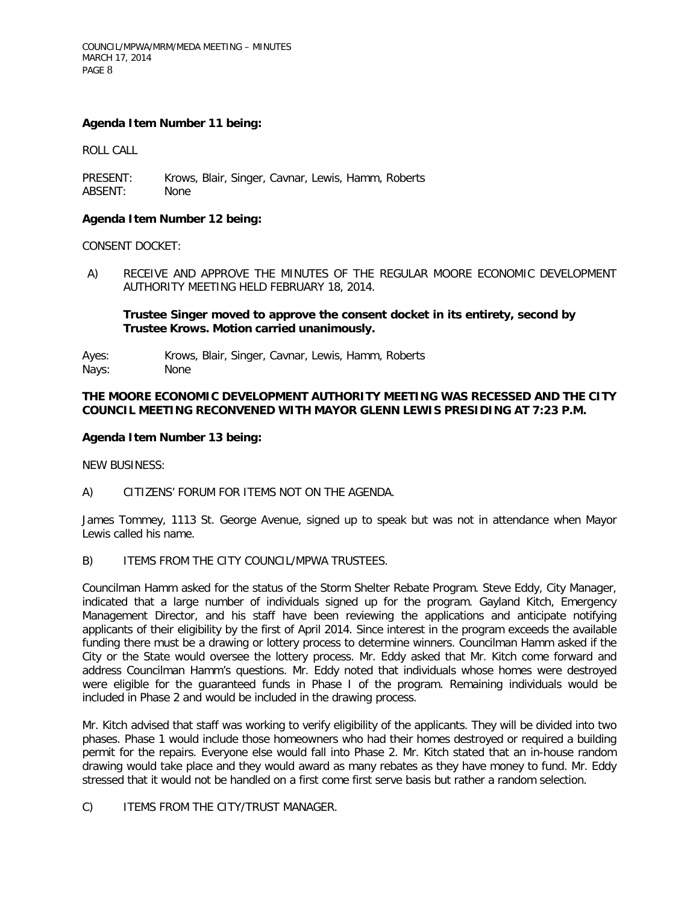## **Agenda Item Number 11 being:**

ROLL CALL

PRESENT: Krows, Blair, Singer, Cavnar, Lewis, Hamm, Roberts ABSENT: None

## **Agenda Item Number 12 being:**

CONSENT DOCKET:

A) RECEIVE AND APPROVE THE MINUTES OF THE REGULAR MOORE ECONOMIC DEVELOPMENT AUTHORITY MEETING HELD FEBRUARY 18, 2014.

## **Trustee Singer moved to approve the consent docket in its entirety, second by Trustee Krows. Motion carried unanimously.**

Ayes: Krows, Blair, Singer, Cavnar, Lewis, Hamm, Roberts

Nays: None

## **THE MOORE ECONOMIC DEVELOPMENT AUTHORITY MEETING WAS RECESSED AND THE CITY COUNCIL MEETING RECONVENED WITH MAYOR GLENN LEWIS PRESIDING AT 7:23 P.M.**

## **Agenda Item Number 13 being:**

NEW BUSINESS:

A) CITIZENS' FORUM FOR ITEMS NOT ON THE AGENDA.

James Tommey, 1113 St. George Avenue, signed up to speak but was not in attendance when Mayor Lewis called his name.

B) ITEMS FROM THE CITY COUNCIL/MPWA TRUSTEES.

Councilman Hamm asked for the status of the Storm Shelter Rebate Program. Steve Eddy, City Manager, indicated that a large number of individuals signed up for the program. Gayland Kitch, Emergency Management Director, and his staff have been reviewing the applications and anticipate notifying applicants of their eligibility by the first of April 2014. Since interest in the program exceeds the available funding there must be a drawing or lottery process to determine winners. Councilman Hamm asked if the City or the State would oversee the lottery process. Mr. Eddy asked that Mr. Kitch come forward and address Councilman Hamm's questions. Mr. Eddy noted that individuals whose homes were destroyed were eligible for the guaranteed funds in Phase I of the program. Remaining individuals would be included in Phase 2 and would be included in the drawing process.

Mr. Kitch advised that staff was working to verify eligibility of the applicants. They will be divided into two phases. Phase 1 would include those homeowners who had their homes destroyed or required a building permit for the repairs. Everyone else would fall into Phase 2. Mr. Kitch stated that an in-house random drawing would take place and they would award as many rebates as they have money to fund. Mr. Eddy stressed that it would not be handled on a first come first serve basis but rather a random selection.

C) ITEMS FROM THE CITY/TRUST MANAGER.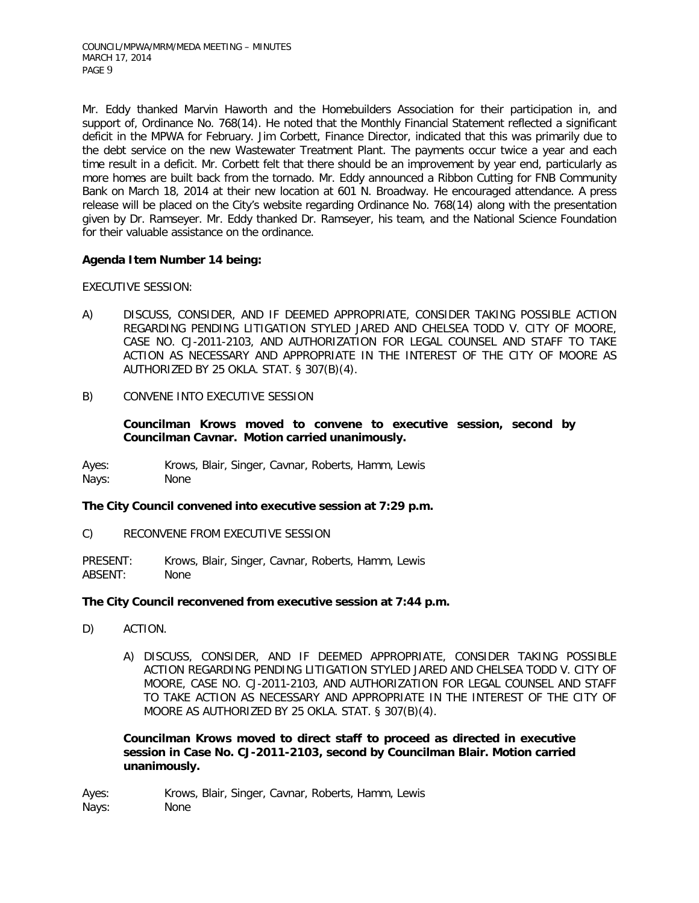Mr. Eddy thanked Marvin Haworth and the Homebuilders Association for their participation in, and support of, Ordinance No. 768(14). He noted that the Monthly Financial Statement reflected a significant deficit in the MPWA for February. Jim Corbett, Finance Director, indicated that this was primarily due to the debt service on the new Wastewater Treatment Plant. The payments occur twice a year and each time result in a deficit. Mr. Corbett felt that there should be an improvement by year end, particularly as more homes are built back from the tornado. Mr. Eddy announced a Ribbon Cutting for FNB Community Bank on March 18, 2014 at their new location at 601 N. Broadway. He encouraged attendance. A press release will be placed on the City's website regarding Ordinance No. 768(14) along with the presentation given by Dr. Ramseyer. Mr. Eddy thanked Dr. Ramseyer, his team, and the National Science Foundation for their valuable assistance on the ordinance.

# **Agenda Item Number 14 being:**

EXECUTIVE SESSION:

- A) DISCUSS, CONSIDER, AND IF DEEMED APPROPRIATE, CONSIDER TAKING POSSIBLE ACTION REGARDING PENDING LITIGATION STYLED JARED AND CHELSEA TODD V. CITY OF MOORE, CASE NO. CJ-2011-2103, AND AUTHORIZATION FOR LEGAL COUNSEL AND STAFF TO TAKE ACTION AS NECESSARY AND APPROPRIATE IN THE INTEREST OF THE CITY OF MOORE AS AUTHORIZED BY 25 OKLA. STAT. § 307(B)(4).
- B) CONVENE INTO EXECUTIVE SESSION

**Councilman Krows moved to convene to executive session, second by Councilman Cavnar. Motion carried unanimously.**

Ayes: Krows, Blair, Singer, Cavnar, Roberts, Hamm, Lewis Nays: None

# **The City Council convened into executive session at 7:29 p.m.**

C) RECONVENE FROM EXECUTIVE SESSION

PRESENT: Krows, Blair, Singer, Cavnar, Roberts, Hamm, Lewis ABSENT: None

# **The City Council reconvened from executive session at 7:44 p.m.**

- D) ACTION.
	- A) DISCUSS, CONSIDER, AND IF DEEMED APPROPRIATE, CONSIDER TAKING POSSIBLE ACTION REGARDING PENDING LITIGATION STYLED JARED AND CHELSEA TODD V. CITY OF MOORE, CASE NO. CJ-2011-2103, AND AUTHORIZATION FOR LEGAL COUNSEL AND STAFF TO TAKE ACTION AS NECESSARY AND APPROPRIATE IN THE INTEREST OF THE CITY OF MOORE AS AUTHORIZED BY 25 OKLA. STAT. § 307(B)(4).

**Councilman Krows moved to direct staff to proceed as directed in executive session in Case No. CJ-2011-2103, second by Councilman Blair. Motion carried unanimously.**

Ayes: Krows, Blair, Singer, Cavnar, Roberts, Hamm, Lewis Nays: None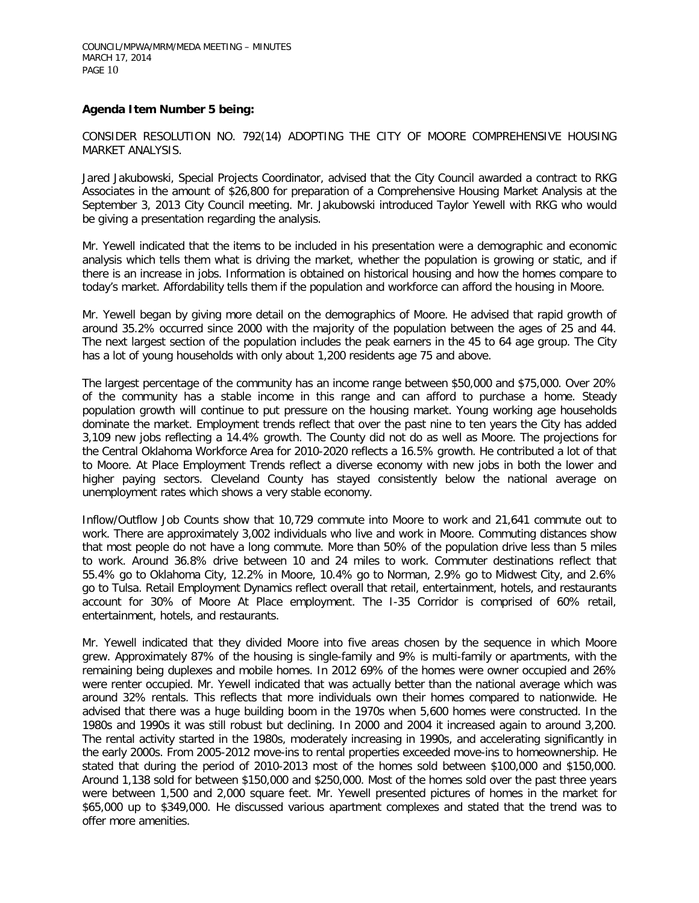## **Agenda Item Number 5 being:**

CONSIDER RESOLUTION NO. 792(14) ADOPTING THE CITY OF MOORE COMPREHENSIVE HOUSING MARKET ANALYSIS.

Jared Jakubowski, Special Projects Coordinator, advised that the City Council awarded a contract to RKG Associates in the amount of \$26,800 for preparation of a Comprehensive Housing Market Analysis at the September 3, 2013 City Council meeting. Mr. Jakubowski introduced Taylor Yewell with RKG who would be giving a presentation regarding the analysis.

Mr. Yewell indicated that the items to be included in his presentation were a demographic and economic analysis which tells them what is driving the market, whether the population is growing or static, and if there is an increase in jobs. Information is obtained on historical housing and how the homes compare to today's market. Affordability tells them if the population and workforce can afford the housing in Moore.

Mr. Yewell began by giving more detail on the demographics of Moore. He advised that rapid growth of around 35.2% occurred since 2000 with the majority of the population between the ages of 25 and 44. The next largest section of the population includes the peak earners in the 45 to 64 age group. The City has a lot of young households with only about 1,200 residents age 75 and above.

The largest percentage of the community has an income range between \$50,000 and \$75,000. Over 20% of the community has a stable income in this range and can afford to purchase a home. Steady population growth will continue to put pressure on the housing market. Young working age households dominate the market. Employment trends reflect that over the past nine to ten years the City has added 3,109 new jobs reflecting a 14.4% growth. The County did not do as well as Moore. The projections for the Central Oklahoma Workforce Area for 2010-2020 reflects a 16.5% growth. He contributed a lot of that to Moore. At Place Employment Trends reflect a diverse economy with new jobs in both the lower and higher paying sectors. Cleveland County has stayed consistently below the national average on unemployment rates which shows a very stable economy.

Inflow/Outflow Job Counts show that 10,729 commute into Moore to work and 21,641 commute out to work. There are approximately 3,002 individuals who live and work in Moore. Commuting distances show that most people do not have a long commute. More than 50% of the population drive less than 5 miles to work. Around 36.8% drive between 10 and 24 miles to work. Commuter destinations reflect that 55.4% go to Oklahoma City, 12.2% in Moore, 10.4% go to Norman, 2.9% go to Midwest City, and 2.6% go to Tulsa. Retail Employment Dynamics reflect overall that retail, entertainment, hotels, and restaurants account for 30% of Moore At Place employment. The I-35 Corridor is comprised of 60% retail, entertainment, hotels, and restaurants.

Mr. Yewell indicated that they divided Moore into five areas chosen by the sequence in which Moore grew. Approximately 87% of the housing is single-family and 9% is multi-family or apartments, with the remaining being duplexes and mobile homes. In 2012 69% of the homes were owner occupied and 26% were renter occupied. Mr. Yewell indicated that was actually better than the national average which was around 32% rentals. This reflects that more individuals own their homes compared to nationwide. He advised that there was a huge building boom in the 1970s when 5,600 homes were constructed. In the 1980s and 1990s it was still robust but declining. In 2000 and 2004 it increased again to around 3,200. The rental activity started in the 1980s, moderately increasing in 1990s, and accelerating significantly in the early 2000s. From 2005-2012 move-ins to rental properties exceeded move-ins to homeownership. He stated that during the period of 2010-2013 most of the homes sold between \$100,000 and \$150,000. Around 1,138 sold for between \$150,000 and \$250,000. Most of the homes sold over the past three years were between 1,500 and 2,000 square feet. Mr. Yewell presented pictures of homes in the market for \$65,000 up to \$349,000. He discussed various apartment complexes and stated that the trend was to offer more amenities.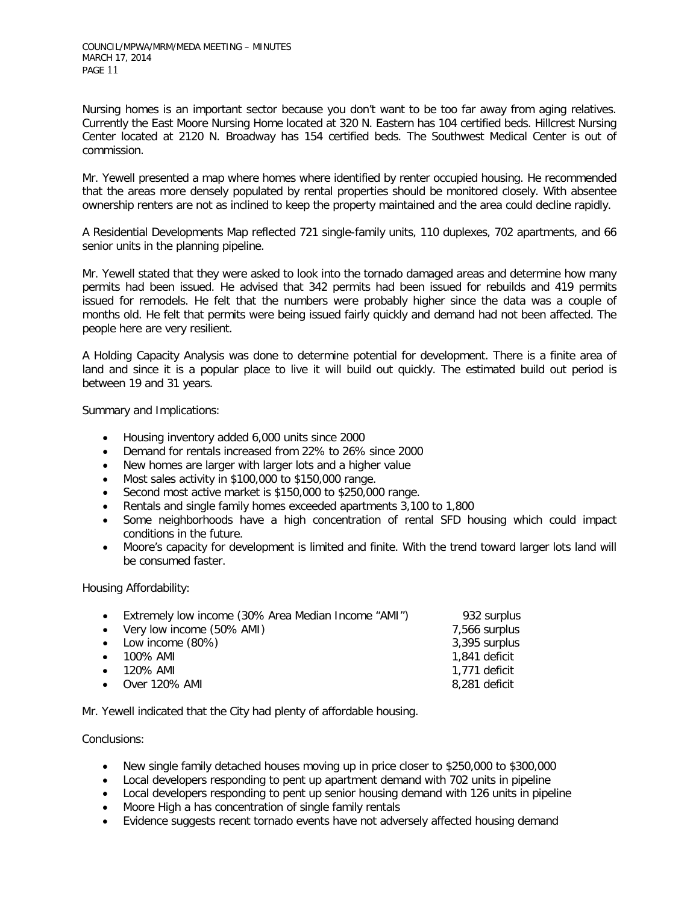Nursing homes is an important sector because you don't want to be too far away from aging relatives. Currently the East Moore Nursing Home located at 320 N. Eastern has 104 certified beds. Hillcrest Nursing Center located at 2120 N. Broadway has 154 certified beds. The Southwest Medical Center is out of commission.

Mr. Yewell presented a map where homes where identified by renter occupied housing. He recommended that the areas more densely populated by rental properties should be monitored closely. With absentee ownership renters are not as inclined to keep the property maintained and the area could decline rapidly.

A Residential Developments Map reflected 721 single-family units, 110 duplexes, 702 apartments, and 66 senior units in the planning pipeline.

Mr. Yewell stated that they were asked to look into the tornado damaged areas and determine how many permits had been issued. He advised that 342 permits had been issued for rebuilds and 419 permits issued for remodels. He felt that the numbers were probably higher since the data was a couple of months old. He felt that permits were being issued fairly quickly and demand had not been affected. The people here are very resilient.

A Holding Capacity Analysis was done to determine potential for development. There is a finite area of land and since it is a popular place to live it will build out quickly. The estimated build out period is between 19 and 31 years.

Summary and Implications:

- Housing inventory added 6,000 units since 2000
- Demand for rentals increased from 22% to 26% since 2000
- New homes are larger with larger lots and a higher value
- Most sales activity in \$100,000 to \$150,000 range.
- Second most active market is \$150,000 to \$250,000 range.
- Rentals and single family homes exceeded apartments 3,100 to 1,800
- Some neighborhoods have a high concentration of rental SFD housing which could impact conditions in the future.
- Moore's capacity for development is limited and finite. With the trend toward larger lots land will be consumed faster.

Housing Affordability:

| • Extremely low income (30% Area Median Income "AMI") | 932 surplus   |
|-------------------------------------------------------|---------------|
| • Very low income (50% AMI)                           | 7,566 surplus |
| • Low income (80%)                                    | 3,395 surplus |
| $\bullet$ 100% AMI                                    | 1.841 deficit |
| $\bullet$ 120% AMI                                    | 1.771 deficit |
| • Over 120% AMI                                       | 8,281 deficit |
|                                                       |               |

Mr. Yewell indicated that the City had plenty of affordable housing.

Conclusions:

- New single family detached houses moving up in price closer to \$250,000 to \$300,000
- Local developers responding to pent up apartment demand with 702 units in pipeline
- Local developers responding to pent up senior housing demand with 126 units in pipeline
- Moore High a has concentration of single family rentals
- Evidence suggests recent tornado events have not adversely affected housing demand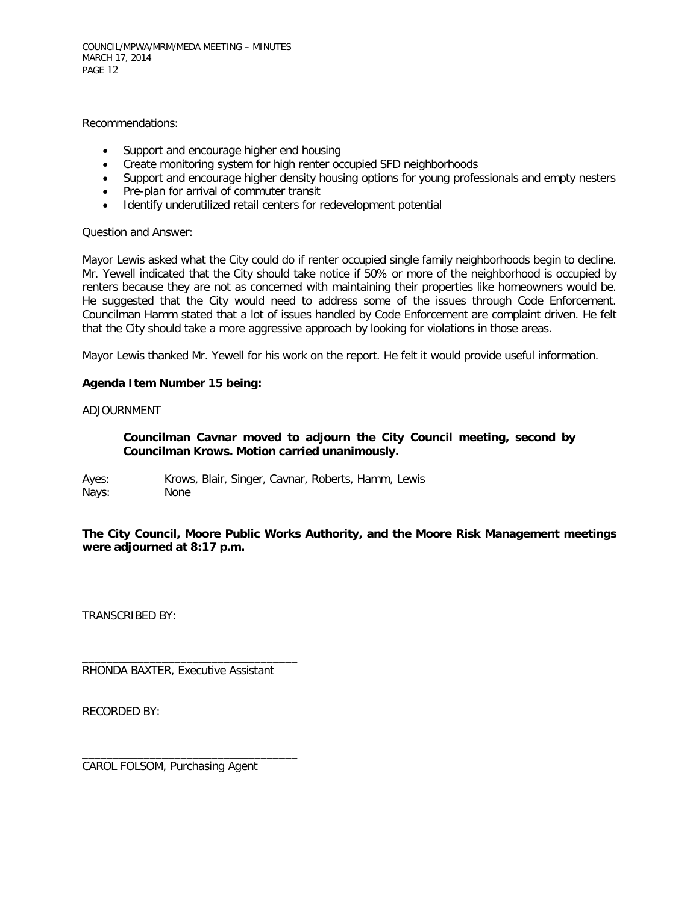COUNCIL/MPWA/MRM/MEDA MEETING – MINUTES MARCH 17, 2014 PAGE 12

Recommendations:

- Support and encourage higher end housing
- Create monitoring system for high renter occupied SFD neighborhoods
- Support and encourage higher density housing options for young professionals and empty nesters
- Pre-plan for arrival of commuter transit
- Identify underutilized retail centers for redevelopment potential

#### Question and Answer:

Mayor Lewis asked what the City could do if renter occupied single family neighborhoods begin to decline. Mr. Yewell indicated that the City should take notice if 50% or more of the neighborhood is occupied by renters because they are not as concerned with maintaining their properties like homeowners would be. He suggested that the City would need to address some of the issues through Code Enforcement. Councilman Hamm stated that a lot of issues handled by Code Enforcement are complaint driven. He felt that the City should take a more aggressive approach by looking for violations in those areas.

Mayor Lewis thanked Mr. Yewell for his work on the report. He felt it would provide useful information.

#### **Agenda Item Number 15 being:**

#### ADJOURNMENT

## **Councilman Cavnar moved to adjourn the City Council meeting, second by Councilman Krows. Motion carried unanimously.**

Ayes: Krows, Blair, Singer, Cavnar, Roberts, Hamm, Lewis Nays: None

**The City Council, Moore Public Works Authority, and the Moore Risk Management meetings were adjourned at 8:17 p.m.**

TRANSCRIBED BY:

RHONDA BAXTER, Executive Assistant

\_\_\_\_\_\_\_\_\_\_\_\_\_\_\_\_\_\_\_\_\_\_\_\_\_\_\_\_\_\_\_\_\_\_\_

\_\_\_\_\_\_\_\_\_\_\_\_\_\_\_\_\_\_\_\_\_\_\_\_\_\_\_\_\_\_\_\_\_\_\_

RECORDED BY:

CAROL FOLSOM, Purchasing Agent